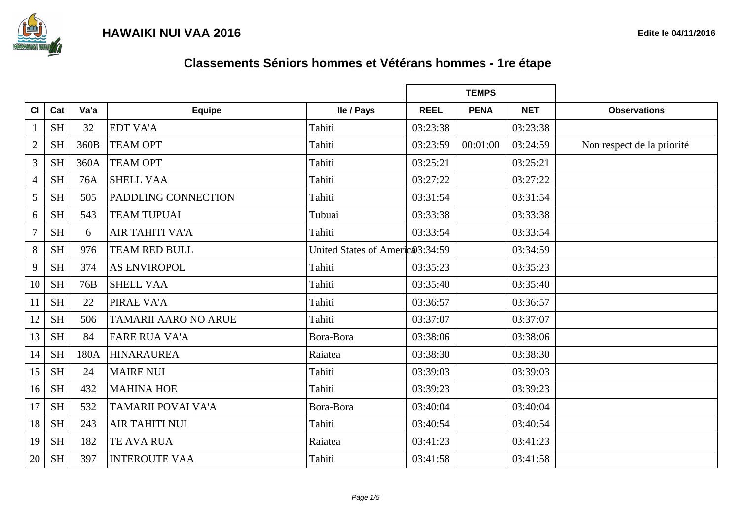

|                |                     |      |                             |                                  |             | <b>TEMPS</b> |            |                            |
|----------------|---------------------|------|-----------------------------|----------------------------------|-------------|--------------|------------|----------------------------|
| CI             | Cat                 | Va'a | <b>Equipe</b>               | lle / Pays                       | <b>REEL</b> | <b>PENA</b>  | <b>NET</b> | <b>Observations</b>        |
| 1              | <b>SH</b>           | 32   | <b>EDT VA'A</b>             | Tahiti                           | 03:23:38    |              | 03:23:38   |                            |
| $\overline{2}$ | <b>SH</b>           | 360B | <b>TEAM OPT</b>             | Tahiti                           | 03:23:59    | 00:01:00     | 03:24:59   | Non respect de la priorité |
| $\overline{3}$ | <b>SH</b>           | 360A | <b>TEAM OPT</b>             | Tahiti                           | 03:25:21    |              | 03:25:21   |                            |
| $\overline{4}$ | $\operatorname{SH}$ | 76A  | <b>SHELL VAA</b>            | Tahiti                           | 03:27:22    |              | 03:27:22   |                            |
| 5              | <b>SH</b>           | 505  | <b>PADDLING CONNECTION</b>  | Tahiti                           | 03:31:54    |              | 03:31:54   |                            |
| 6              | <b>SH</b>           | 543  | <b>TEAM TUPUAI</b>          | Tubuai                           | 03:33:38    |              | 03:33:38   |                            |
| $\overline{7}$ | <b>SH</b>           | 6    | <b>AIR TAHITI VA'A</b>      | Tahiti                           | 03:33:54    |              | 03:33:54   |                            |
| 8              | <b>SH</b>           | 976  | <b>TEAM RED BULL</b>        | United States of Americ 03:34:59 |             |              | 03:34:59   |                            |
| 9              | <b>SH</b>           | 374  | <b>AS ENVIROPOL</b>         | Tahiti                           | 03:35:23    |              | 03:35:23   |                            |
| 10             | <b>SH</b>           | 76B  | <b>SHELL VAA</b>            | Tahiti                           | 03:35:40    |              | 03:35:40   |                            |
| 11             | <b>SH</b>           | 22   | <b>PIRAE VA'A</b>           | Tahiti                           | 03:36:57    |              | 03:36:57   |                            |
| 12             | <b>SH</b>           | 506  | <b>TAMARII AARO NO ARUE</b> | Tahiti                           | 03:37:07    |              | 03:37:07   |                            |
| 13             | <b>SH</b>           | 84   | <b>FARE RUA VA'A</b>        | Bora-Bora                        | 03:38:06    |              | 03:38:06   |                            |
| 14             | <b>SH</b>           | 180A | <b>HINARAUREA</b>           | Raiatea                          | 03:38:30    |              | 03:38:30   |                            |
| 15             | <b>SH</b>           | 24   | <b>MAIRE NUI</b>            | Tahiti                           | 03:39:03    |              | 03:39:03   |                            |
| 16             | <b>SH</b>           | 432  | <b>MAHINA HOE</b>           | Tahiti                           | 03:39:23    |              | 03:39:23   |                            |
| 17             | <b>SH</b>           | 532  | <b>TAMARII POVAI VA'A</b>   | Bora-Bora                        | 03:40:04    |              | 03:40:04   |                            |
| 18             | <b>SH</b>           | 243  | <b>AIR TAHITI NUI</b>       | Tahiti                           | 03:40:54    |              | 03:40:54   |                            |
| 19             | <b>SH</b>           | 182  | <b>TE AVA RUA</b>           | Raiatea                          | 03:41:23    |              | 03:41:23   |                            |
| 20             | <b>SH</b>           | 397  | <b>INTEROUTE VAA</b>        | Tahiti                           | 03:41:58    |              | 03:41:58   |                            |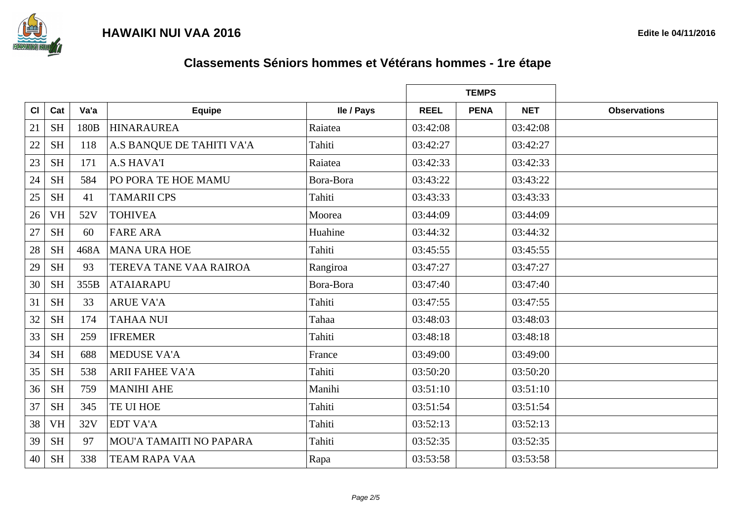

|    |                     |      |                           |            |             | <b>TEMPS</b> |            |                     |
|----|---------------------|------|---------------------------|------------|-------------|--------------|------------|---------------------|
| CI | Cat                 | Va'a | <b>Equipe</b>             | Ile / Pays | <b>REEL</b> | <b>PENA</b>  | <b>NET</b> | <b>Observations</b> |
| 21 | $\operatorname{SH}$ | 180B | <b>HINARAUREA</b>         | Raiatea    | 03:42:08    |              | 03:42:08   |                     |
| 22 | <b>SH</b>           | 118  | A.S BANQUE DE TAHITI VA'A | Tahiti     | 03:42:27    |              | 03:42:27   |                     |
| 23 | <b>SH</b>           | 171  | <b>A.S HAVA'I</b>         | Raiatea    | 03:42:33    |              | 03:42:33   |                     |
| 24 | <b>SH</b>           | 584  | PO PORA TE HOE MAMU       | Bora-Bora  | 03:43:22    |              | 03:43:22   |                     |
| 25 | <b>SH</b>           | 41   | <b>TAMARII CPS</b>        | Tahiti     | 03:43:33    |              | 03:43:33   |                     |
| 26 | <b>VH</b>           | 52V  | <b>TOHIVEA</b>            | Moorea     | 03:44:09    |              | 03:44:09   |                     |
| 27 | <b>SH</b>           | 60   | <b>FARE ARA</b>           | Huahine    | 03:44:32    |              | 03:44:32   |                     |
| 28 | <b>SH</b>           | 468A | <b>MANA URA HOE</b>       | Tahiti     | 03:45:55    |              | 03:45:55   |                     |
| 29 | <b>SH</b>           | 93   | TEREVA TANE VAA RAIROA    | Rangiroa   | 03:47:27    |              | 03:47:27   |                     |
| 30 | <b>SH</b>           | 355B | <b>ATAIARAPU</b>          | Bora-Bora  | 03:47:40    |              | 03:47:40   |                     |
| 31 | <b>SH</b>           | 33   | <b>ARUE VA'A</b>          | Tahiti     | 03:47:55    |              | 03:47:55   |                     |
| 32 | <b>SH</b>           | 174  | <b>TAHAA NUI</b>          | Tahaa      | 03:48:03    |              | 03:48:03   |                     |
| 33 | <b>SH</b>           | 259  | <b>IFREMER</b>            | Tahiti     | 03:48:18    |              | 03:48:18   |                     |
| 34 | <b>SH</b>           | 688  | <b>MEDUSE VA'A</b>        | France     | 03:49:00    |              | 03:49:00   |                     |
| 35 | <b>SH</b>           | 538  | <b>ARII FAHEE VA'A</b>    | Tahiti     | 03:50:20    |              | 03:50:20   |                     |
| 36 | <b>SH</b>           | 759  | <b>MANIHI AHE</b>         | Manihi     | 03:51:10    |              | 03:51:10   |                     |
| 37 | <b>SH</b>           | 345  | TE UI HOE                 | Tahiti     | 03:51:54    |              | 03:51:54   |                     |
| 38 | <b>VH</b>           | 32V  | <b>EDT VA'A</b>           | Tahiti     | 03:52:13    |              | 03:52:13   |                     |
| 39 | <b>SH</b>           | 97   | MOU'A TAMAITI NO PAPARA   | Tahiti     | 03:52:35    |              | 03:52:35   |                     |
| 40 | <b>SH</b>           | 338  | <b>TEAM RAPA VAA</b>      | Rapa       | 03:53:58    |              | 03:53:58   |                     |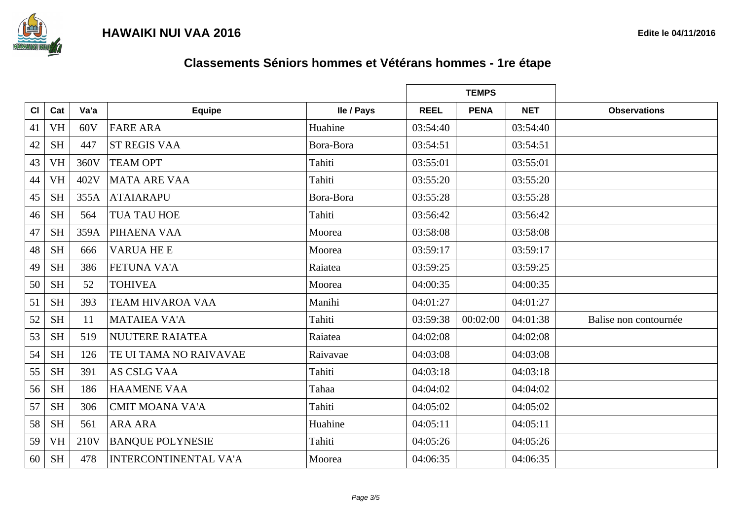

|    |                     |      |                              |            |             | <b>TEMPS</b> |            |                       |
|----|---------------------|------|------------------------------|------------|-------------|--------------|------------|-----------------------|
| CI | Cat                 | Va'a | <b>Equipe</b>                | Ile / Pays | <b>REEL</b> | <b>PENA</b>  | <b>NET</b> | <b>Observations</b>   |
| 41 | <b>VH</b>           | 60V  | <b>FARE ARA</b>              | Huahine    | 03:54:40    |              | 03:54:40   |                       |
| 42 | <b>SH</b>           | 447  | <b>ST REGIS VAA</b>          | Bora-Bora  | 03:54:51    |              | 03:54:51   |                       |
| 43 | <b>VH</b>           | 360V | <b>TEAM OPT</b>              | Tahiti     | 03:55:01    |              | 03:55:01   |                       |
| 44 | <b>VH</b>           | 402V | <b>MATA ARE VAA</b>          | Tahiti     | 03:55:20    |              | 03:55:20   |                       |
| 45 | <b>SH</b>           | 355A | <b>ATAIARAPU</b>             | Bora-Bora  | 03:55:28    |              | 03:55:28   |                       |
| 46 | <b>SH</b>           | 564  | <b>TUA TAU HOE</b>           | Tahiti     | 03:56:42    |              | 03:56:42   |                       |
| 47 | <b>SH</b>           | 359A | PIHAENA VAA                  | Moorea     | 03:58:08    |              | 03:58:08   |                       |
| 48 | <b>SH</b>           | 666  | <b>VARUA HE E</b>            | Moorea     | 03:59:17    |              | 03:59:17   |                       |
| 49 | <b>SH</b>           | 386  | FETUNA VA'A                  | Raiatea    | 03:59:25    |              | 03:59:25   |                       |
| 50 | <b>SH</b>           | 52   | <b>TOHIVEA</b>               | Moorea     | 04:00:35    |              | 04:00:35   |                       |
| 51 | <b>SH</b>           | 393  | <b>TEAM HIVAROA VAA</b>      | Manihi     | 04:01:27    |              | 04:01:27   |                       |
| 52 | <b>SH</b>           | 11   | <b>MATAIEA VA'A</b>          | Tahiti     | 03:59:38    | 00:02:00     | 04:01:38   | Balise non contournée |
| 53 | <b>SH</b>           | 519  | <b>NUUTERE RAIATEA</b>       | Raiatea    | 04:02:08    |              | 04:02:08   |                       |
| 54 | <b>SH</b>           | 126  | TE UI TAMA NO RAIVAVAE       | Raivavae   | 04:03:08    |              | 04:03:08   |                       |
| 55 | <b>SH</b>           | 391  | <b>AS CSLG VAA</b>           | Tahiti     | 04:03:18    |              | 04:03:18   |                       |
| 56 | <b>SH</b>           | 186  | <b>HAAMENE VAA</b>           | Tahaa      | 04:04:02    |              | 04:04:02   |                       |
| 57 | <b>SH</b>           | 306  | <b>CMIT MOANA VA'A</b>       | Tahiti     | 04:05:02    |              | 04:05:02   |                       |
| 58 | <b>SH</b>           | 561  | <b>ARA ARA</b>               | Huahine    | 04:05:11    |              | 04:05:11   |                       |
| 59 | <b>VH</b>           | 210V | <b>BANQUE POLYNESIE</b>      | Tahiti     | 04:05:26    |              | 04:05:26   |                       |
| 60 | $\operatorname{SH}$ | 478  | <b>INTERCONTINENTAL VA'A</b> | Moorea     | 04:06:35    |              | 04:06:35   |                       |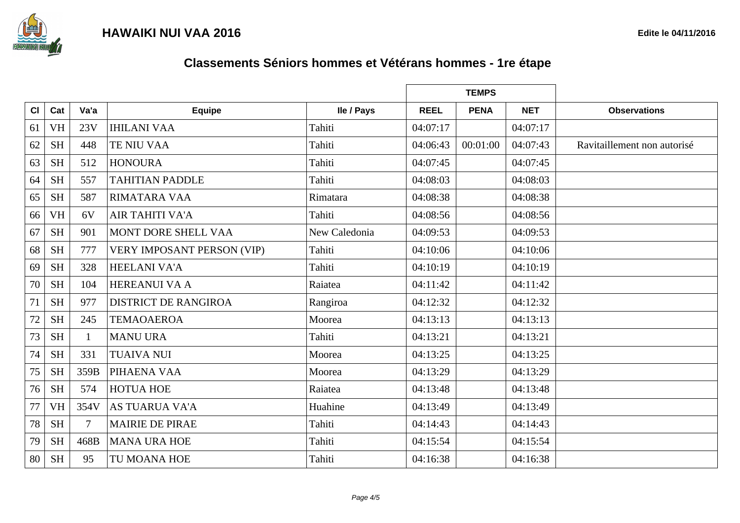

|    |           |        |                                   |               |             | <b>TEMPS</b> |            |                             |
|----|-----------|--------|-----------------------------------|---------------|-------------|--------------|------------|-----------------------------|
| CI | Cat       | Va'a   | <b>Equipe</b>                     | Ile / Pays    | <b>REEL</b> | <b>PENA</b>  | <b>NET</b> | <b>Observations</b>         |
| 61 | <b>VH</b> | 23V    | <b>IHILANI VAA</b>                | Tahiti        | 04:07:17    |              | 04:07:17   |                             |
| 62 | <b>SH</b> | 448    | TE NIU VAA                        | Tahiti        | 04:06:43    | 00:01:00     | 04:07:43   | Ravitaillement non autorisé |
| 63 | <b>SH</b> | 512    | <b>HONOURA</b>                    | Tahiti        | 04:07:45    |              | 04:07:45   |                             |
| 64 | <b>SH</b> | 557    | <b>TAHITIAN PADDLE</b>            | Tahiti        | 04:08:03    |              | 04:08:03   |                             |
| 65 | <b>SH</b> | 587    | <b>RIMATARA VAA</b>               | Rimatara      | 04:08:38    |              | 04:08:38   |                             |
| 66 | <b>VH</b> | 6V     | <b>AIR TAHITI VA'A</b>            | Tahiti        | 04:08:56    |              | 04:08:56   |                             |
| 67 | <b>SH</b> | 901    | MONT DORE SHELL VAA               | New Caledonia | 04:09:53    |              | 04:09:53   |                             |
| 68 | <b>SH</b> | 777    | <b>VERY IMPOSANT PERSON (VIP)</b> | Tahiti        | 04:10:06    |              | 04:10:06   |                             |
| 69 | <b>SH</b> | 328    | <b>HEELANI VA'A</b>               | Tahiti        | 04:10:19    |              | 04:10:19   |                             |
| 70 | <b>SH</b> | 104    | <b>HEREANUI VA A</b>              | Raiatea       | 04:11:42    |              | 04:11:42   |                             |
| 71 | <b>SH</b> | 977    | <b>DISTRICT DE RANGIROA</b>       | Rangiroa      | 04:12:32    |              | 04:12:32   |                             |
| 72 | <b>SH</b> | 245    | <b>TEMAOAEROA</b>                 | Moorea        | 04:13:13    |              | 04:13:13   |                             |
| 73 | <b>SH</b> |        | <b>MANU URA</b>                   | Tahiti        | 04:13:21    |              | 04:13:21   |                             |
| 74 | <b>SH</b> | 331    | <b>TUAIVA NUI</b>                 | Moorea        | 04:13:25    |              | 04:13:25   |                             |
| 75 | <b>SH</b> | 359B   | PIHAENA VAA                       | Moorea        | 04:13:29    |              | 04:13:29   |                             |
| 76 | <b>SH</b> | 574    | <b>HOTUA HOE</b>                  | Raiatea       | 04:13:48    |              | 04:13:48   |                             |
| 77 | <b>VH</b> | 354V   | <b>AS TUARUA VA'A</b>             | Huahine       | 04:13:49    |              | 04:13:49   |                             |
| 78 | <b>SH</b> | $\tau$ | <b>MAIRIE DE PIRAE</b>            | Tahiti        | 04:14:43    |              | 04:14:43   |                             |
| 79 | <b>SH</b> | 468B   | <b>MANA URA HOE</b>               | Tahiti        | 04:15:54    |              | 04:15:54   |                             |
| 80 | <b>SH</b> | 95     | TU MOANA HOE                      | Tahiti        | 04:16:38    |              | 04:16:38   |                             |